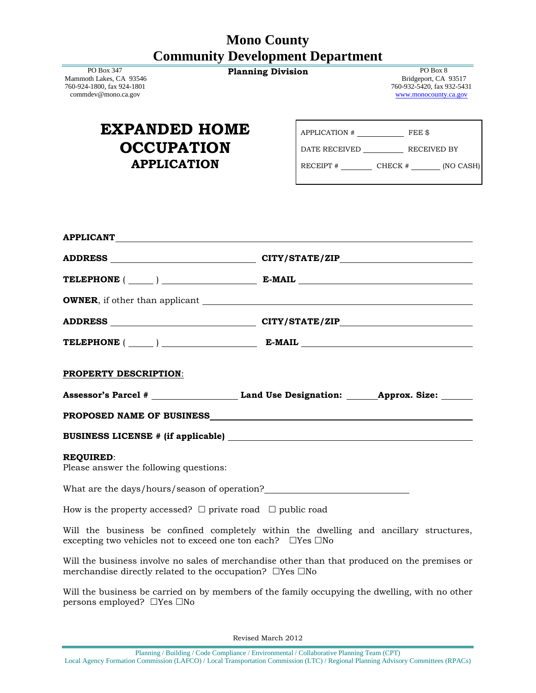## **Mono County Community Development Department**

 PO Box 347 Mammoth Lakes, CA 93546 760-924-1800, fax 924-1801 commdev@mono.ca.gov

| <b>Planning Division</b> | PO Box 8                                 |
|--------------------------|------------------------------------------|
|                          | $P:1 \qquad \ldots \qquad \qquad \ldots$ |

 Bridgeport, CA 93517 760-932-5420, fax 932-5431 [www.monocounty.ca.gov](http://www.monocounty.ca.gov/)

| <b>EXPANDED HOME</b> |  |  |
|----------------------|--|--|
| <b>OCCUPATION</b>    |  |  |
| <b>APPLICATION</b>   |  |  |

| APPLICATION # | FEE \$  |             |
|---------------|---------|-------------|
| DATE RECEIVED |         | RECEIVED BY |
| RECEIPT #     | CHECK # | (NO CASH)   |

| APPLICANT<br>The Contract of the Contract of the Contract of the Contract of the Contract of the Contract of the Contract of the Contract of the Contract of the Contract of the Contract of the Contract of the Contract of the |                                                                                                       |  |
|----------------------------------------------------------------------------------------------------------------------------------------------------------------------------------------------------------------------------------|-------------------------------------------------------------------------------------------------------|--|
|                                                                                                                                                                                                                                  |                                                                                                       |  |
|                                                                                                                                                                                                                                  | TELEPHONE $(\_\_)$ $\_\_$ E-MAIL $\_\_$                                                               |  |
|                                                                                                                                                                                                                                  |                                                                                                       |  |
|                                                                                                                                                                                                                                  |                                                                                                       |  |
|                                                                                                                                                                                                                                  | TELEPHONE $(\_\_)$ $\_\_$ E-MAIL $\_\_$                                                               |  |
| <b>PROPERTY DESCRIPTION:</b>                                                                                                                                                                                                     |                                                                                                       |  |
|                                                                                                                                                                                                                                  | Assessor's Parcel # _______________________________Land Use Designation: ________Approx. Size: ______ |  |
|                                                                                                                                                                                                                                  |                                                                                                       |  |
|                                                                                                                                                                                                                                  |                                                                                                       |  |
| <b>REQUIRED:</b><br>Please answer the following questions:                                                                                                                                                                       |                                                                                                       |  |
|                                                                                                                                                                                                                                  |                                                                                                       |  |
| How is the property accessed? $\Box$ private road $\Box$ public road                                                                                                                                                             |                                                                                                       |  |
| excepting two vehicles not to exceed one ton each? $\Box$ Yes $\Box$ No                                                                                                                                                          | Will the business be confined completely within the dwelling and ancillary structures,                |  |
| Will the business involve no sales of merchandise other than that produced on the premises or                                                                                                                                    |                                                                                                       |  |

merchandise directly related to the occupation?  $\Box$ Yes  $\Box$ No

Will the business be carried on by members of the family occupying the dwelling, with no other persons employed?  $\Box$  Yes  $\Box$  No

Revised March 2012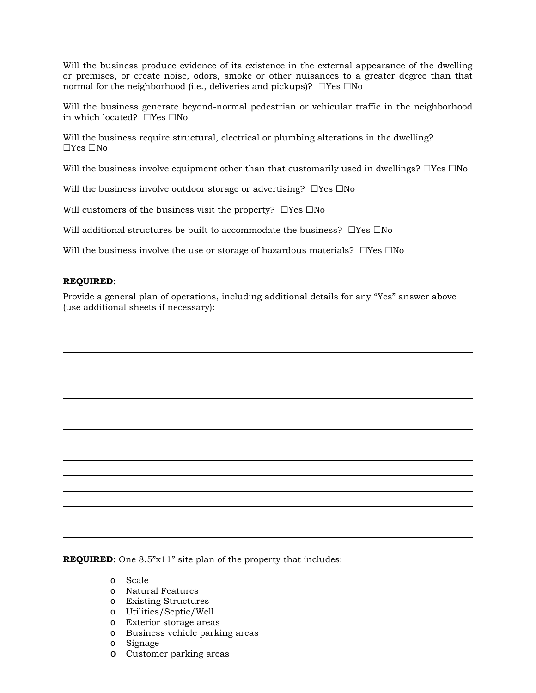Will the business produce evidence of its existence in the external appearance of the dwelling or premises, or create noise, odors, smoke or other nuisances to a greater degree than that normal for the neighborhood (i.e., deliveries and pickups)?  $\Box$ Yes  $\Box$ No

Will the business generate beyond-normal pedestrian or vehicular traffic in the neighborhood in which located?  $\Box$  Yes  $\Box$  No

Will the business require structural, electrical or plumbing alterations in the dwelling?  $\Box$ Yes  $\Box$ No

Will the business involve equipment other than that customarily used in dwellings?  $\Box$ Yes  $\Box$ No

Will the business involve outdoor storage or advertising?  $\Box$  Yes  $\Box$  No

Will customers of the business visit the property?  $\Box$  Yes  $\Box$  No

Will additional structures be built to accommodate the business?  $\Box$  Yes  $\Box$  No

Will the business involve the use or storage of hazardous materials?  $\Box$ Yes  $\Box$ No

## **REQUIRED**:

Provide a general plan of operations, including additional details for any "Yes" answer above (use additional sheets if necessary):

**REQUIRED:** One 8.5"x11" site plan of the property that includes:

- o Scale
- o Natural Features
- o Existing Structures
- o Utilities/Septic/Well
- o Exterior storage areas
- o Business vehicle parking areas
- o Signage
- o Customer parking areas